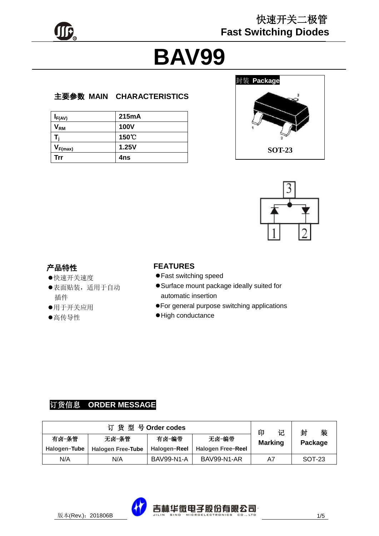

# **BAV99**

#### 主要参数 **MAIN CHARACTERISTICS**

| $I_{F(AV)}$                | 215mA       |
|----------------------------|-------------|
| $\mathsf{V}_{\mathsf{RM}}$ | <b>100V</b> |
|                            | 150 C       |
| $V_{F(max)}$               | 1.25V       |
| <b>Trr</b>                 | 4ns         |





#### 产品特性

- 快速开关速度
- 表面贴装,适用于自动 插件
- 用于开关应用
- 高传导性

#### **FEATURES**

- Fast switching speed
- Surface mount package ideally suited for automatic insertion
- For general purpose switching applications
- High conductance

## 订货信息 **ORDER MESSAGE**

|              |                          | 订货型号Order codes   |                    | 印              | 记 | 封       | 装 |
|--------------|--------------------------|-------------------|--------------------|----------------|---|---------|---|
| 有卤-条管        | 无卤−条管                    | 有卤-编带             | 无卤-编带              | <b>Marking</b> |   | Package |   |
| Halogen-Tube | <b>Halogen Free-Tube</b> | Halogen-Reel      | Halogen Free-Reel  |                |   |         |   |
| N/A          | N/A                      | <b>BAV99-N1-A</b> | <b>BAV99-N1-AR</b> | A7             |   | SOT-23  |   |

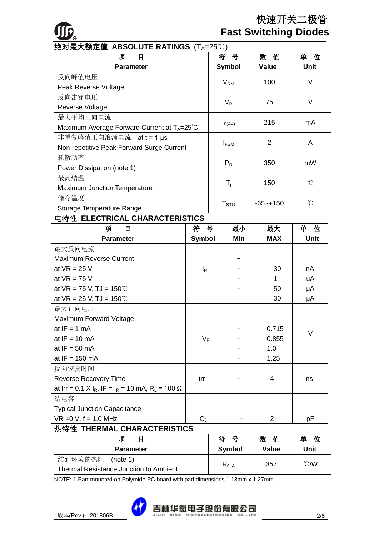

## 快速开关二极管  **Fast Switching Diodes**

| 绝对最大额定值 ABSOLUTE RATINGS (T <sub>A</sub> =25℃)         |                  |                |             |
|--------------------------------------------------------|------------------|----------------|-------------|
| 目<br>项                                                 | 뮥<br>符           | 值<br>数         | 单<br>位      |
| <b>Parameter</b>                                       | <b>Symbol</b>    | Value          | <b>Unit</b> |
| 反向峰值电压                                                 |                  | 100            | $\vee$      |
| Peak Reverse Voltage                                   | $V_{RM}$         |                |             |
| 反向击穿电压                                                 | $V_{R}$          | 75             | V           |
| Reverse Voltage                                        |                  |                |             |
| 最大平均正向电流                                               |                  | 215            | mA          |
| Maximum Average Forward Current at $T_A = 25^{\circ}C$ | $I_{F(AV)}$      |                |             |
| 非重复峰值正向浪涌电流 att=1µs                                    |                  | $\overline{2}$ | A           |
| Non-repetitive Peak Forward Surge Current              | $I_{FSM}$        |                |             |
| 耗散功率                                                   | $P_D$            | 350            | mW          |
| Power Dissipation (note 1)                             |                  |                |             |
| 最高结温                                                   |                  | 150            | °C          |
| <b>Maximum Junction Temperature</b>                    | $T_i$            |                |             |
| 储存温度                                                   | T <sub>STG</sub> | $-65 - +150$   | °C          |
| Storage Temperature Range                              |                  |                |             |

#### 电特性 **ELECTRICAL CHARACTERISTICS**

| 目<br>项                                                                                     | 符 号           | 最小  | 最大         | 单<br>位      |
|--------------------------------------------------------------------------------------------|---------------|-----|------------|-------------|
| <b>Parameter</b>                                                                           | <b>Symbol</b> | Min | <b>MAX</b> | <b>Unit</b> |
| 最大反向电流                                                                                     |               |     |            |             |
| <b>Maximum Reverse Current</b>                                                             |               |     |            |             |
| at $VR = 25 V$                                                                             | $I_R$         |     | 30         | nA          |
| at $VR = 75 V$                                                                             |               |     | 1          | uA          |
| at $VR = 75 V$ , TJ = 150 °C                                                               |               |     | 50         | μA          |
| at $VR = 25 V$ , TJ = 150 °C                                                               |               |     | 30         | μA          |
| 最大正向电压                                                                                     |               |     |            |             |
| Maximum Forward Voltage                                                                    |               |     |            |             |
| at $IF = 1 mA$                                                                             |               |     | 0.715      | V           |
| at $IF = 10$ mA                                                                            | $V_F$         |     | 0.855      |             |
| at $IF = 50$ mA                                                                            |               |     | 1.0        |             |
| at $IF = 150$ mA                                                                           |               |     | 1.25       |             |
| 反向恢复时间                                                                                     |               |     |            |             |
| Reverse Recovery Time                                                                      | trr           |     | 4          | ns          |
| at Irr = 0.1 X I <sub>R</sub> , IF = I <sub>R</sub> = 10 mA, R <sub>L</sub> = 100 $\Omega$ |               |     |            |             |
| 结电容                                                                                        |               |     |            |             |
| <b>Typical Junction Capacitance</b>                                                        |               |     |            |             |
| $VR = 0 V, f = 1.0 MHz$                                                                    | $C_{J}$       |     | 2          | рF          |

#### 热特性 **THERMAL CHARACTERISTICS**

| 项<br>目                                 | 符<br><del>묘</del>                        | 数<br>值 | 单<br>位         |
|----------------------------------------|------------------------------------------|--------|----------------|
| <b>Parameter</b>                       | Symbol                                   | Value  | Unit           |
| 结到环境的热阻<br>(note 1)                    |                                          |        | $^{\circ}$ CMV |
| Thermal Resistance Junction to Ambient | $\mathsf{R}_{\textsf{\scriptsize{6JA}}}$ | 357    |                |

NOTE: 1.Part mounted on Polymide PC board with pad dimensions 1.13mm x 1.27mm.

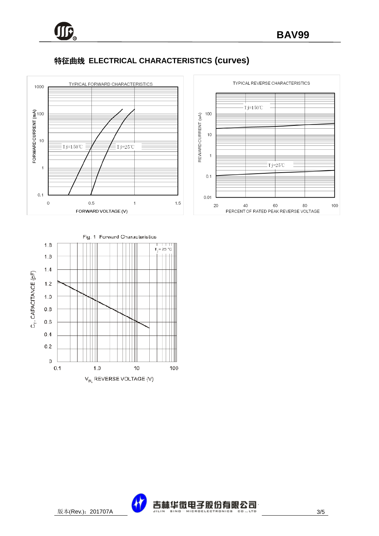

## 特征曲线 **ELECTRICAL CHARACTERISTICS (curves)**







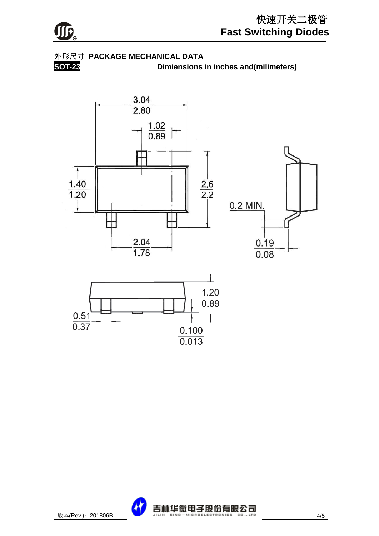

### 外形尺寸 **PACKAGE MECHANICAL DATA**

**SOT-23 Dimiensions in inches and(milimeters)**